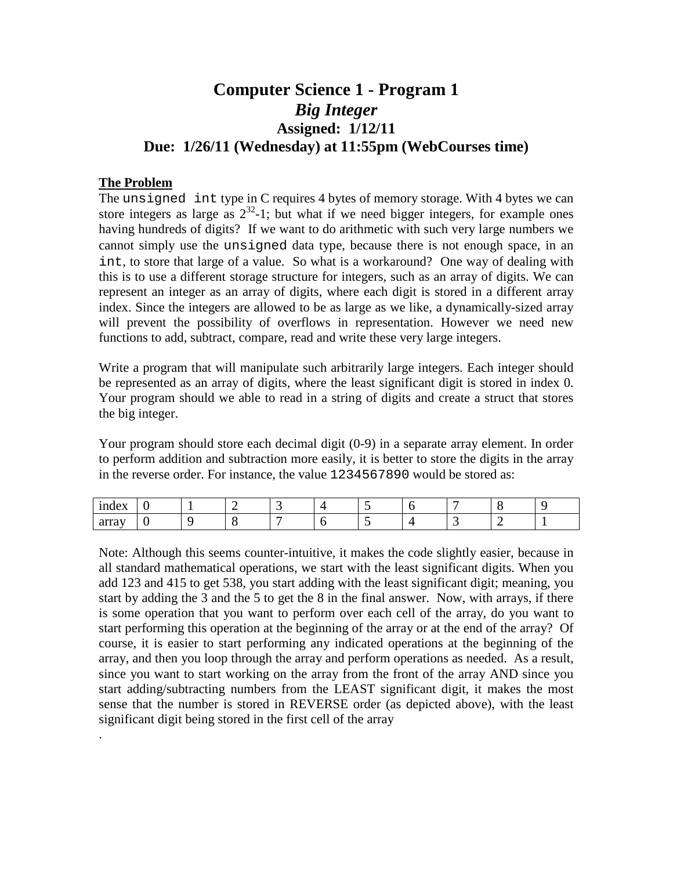# **Computer Science 1 - Program 1** *Big Integer* **Assigned: 1/12/11 Due: 1/26/11 (Wednesday) at 11:55pm (WebCourses time)**

## **The Problem**

.

The unsigned int type in C requires 4 bytes of memory storage. With 4 bytes we can store integers as large as  $2^{32}$ -1; but what if we need bigger integers, for example ones having hundreds of digits? If we want to do arithmetic with such very large numbers we cannot simply use the unsigned data type, because there is not enough space, in an int, to store that large of a value. So what is a workaround? One way of dealing with this is to use a different storage structure for integers, such as an array of digits. We can represent an integer as an array of digits, where each digit is stored in a different array index. Since the integers are allowed to be as large as we like, a dynamically-sized array will prevent the possibility of overflows in representation. However we need new functions to add, subtract, compare, read and write these very large integers.

Write a program that will manipulate such arbitrarily large integers. Each integer should be represented as an array of digits, where the least significant digit is stored in index 0. Your program should we able to read in a string of digits and create a struct that stores the big integer.

Your program should store each decimal digit (0-9) in a separate array element. In order to perform addition and subtraction more easily, it is better to store the digits in the array in the reverse order. For instance, the value 1234567890 would be stored as:

| 1 <sub>n</sub><br>$\mathbf{u}$<br>$\mathbf{H}$ |  |  | . . | - |    |  |
|------------------------------------------------|--|--|-----|---|----|--|
| $0$ the $0 \times 1$<br>ana                    |  |  | . . |   | -- |  |

Note: Although this seems counter-intuitive, it makes the code slightly easier, because in all standard mathematical operations, we start with the least significant digits. When you add 123 and 415 to get 538, you start adding with the least significant digit; meaning, you start by adding the 3 and the 5 to get the 8 in the final answer. Now, with arrays, if there is some operation that you want to perform over each cell of the array, do you want to start performing this operation at the beginning of the array or at the end of the array? Of course, it is easier to start performing any indicated operations at the beginning of the array, and then you loop through the array and perform operations as needed. As a result, since you want to start working on the array from the front of the array AND since you start adding/subtracting numbers from the LEAST significant digit, it makes the most sense that the number is stored in REVERSE order (as depicted above), with the least significant digit being stored in the first cell of the array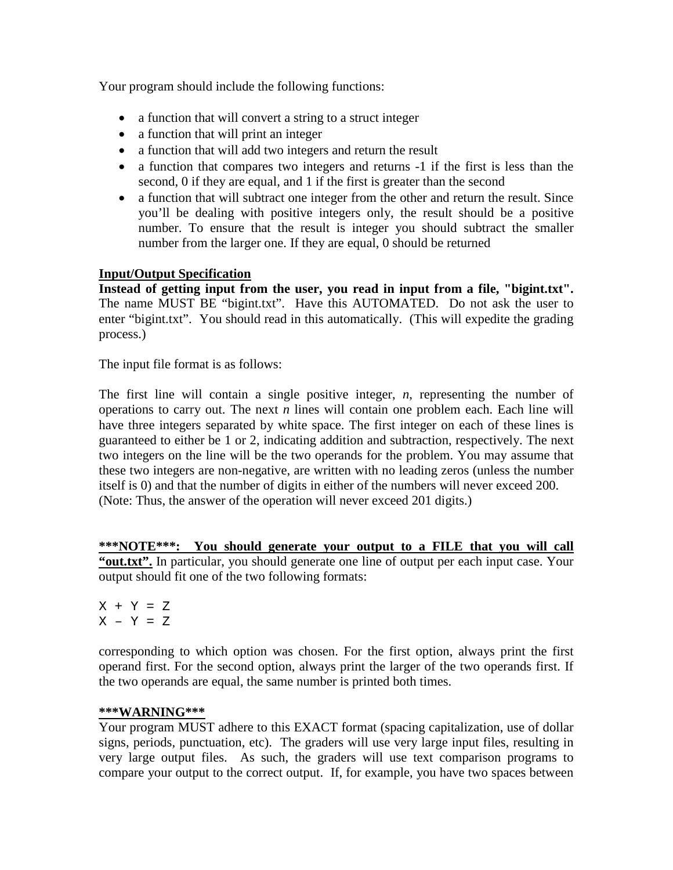Your program should include the following functions:

- a function that will convert a string to a struct integer
- a function that will print an integer
- a function that will add two integers and return the result
- a function that compares two integers and returns -1 if the first is less than the second, 0 if they are equal, and 1 if the first is greater than the second
- a function that will subtract one integer from the other and return the result. Since you'll be dealing with positive integers only, the result should be a positive number. To ensure that the result is integer you should subtract the smaller number from the larger one. If they are equal, 0 should be returned

# **Input/Output Specification**

**Instead of getting input from the user, you read in input from a file, "bigint.txt".** The name MUST BE "bigint.txt". Have this AUTOMATED. Do not ask the user to enter "bigint.txt". You should read in this automatically. (This will expedite the grading process.)

The input file format is as follows:

The first line will contain a single positive integer, *n*, representing the number of operations to carry out. The next *n* lines will contain one problem each. Each line will have three integers separated by white space. The first integer on each of these lines is guaranteed to either be 1 or 2, indicating addition and subtraction, respectively. The next two integers on the line will be the two operands for the problem. You may assume that these two integers are non-negative, are written with no leading zeros (unless the number itself is 0) and that the number of digits in either of the numbers will never exceed 200. (Note: Thus, the answer of the operation will never exceed 201 digits.)

**\*\*\*NOTE\*\*\*: You should generate your output to a FILE that you will call "out.txt".** In particular, you should generate one line of output per each input case. Your output should fit one of the two following formats:

 $X + Y = Z$  $X - Y = Z$ 

corresponding to which option was chosen. For the first option, always print the first operand first. For the second option, always print the larger of the two operands first. If the two operands are equal, the same number is printed both times.

#### **\*\*\*WARNING\*\*\***

Your program MUST adhere to this EXACT format (spacing capitalization, use of dollar signs, periods, punctuation, etc). The graders will use very large input files, resulting in very large output files. As such, the graders will use text comparison programs to compare your output to the correct output. If, for example, you have two spaces between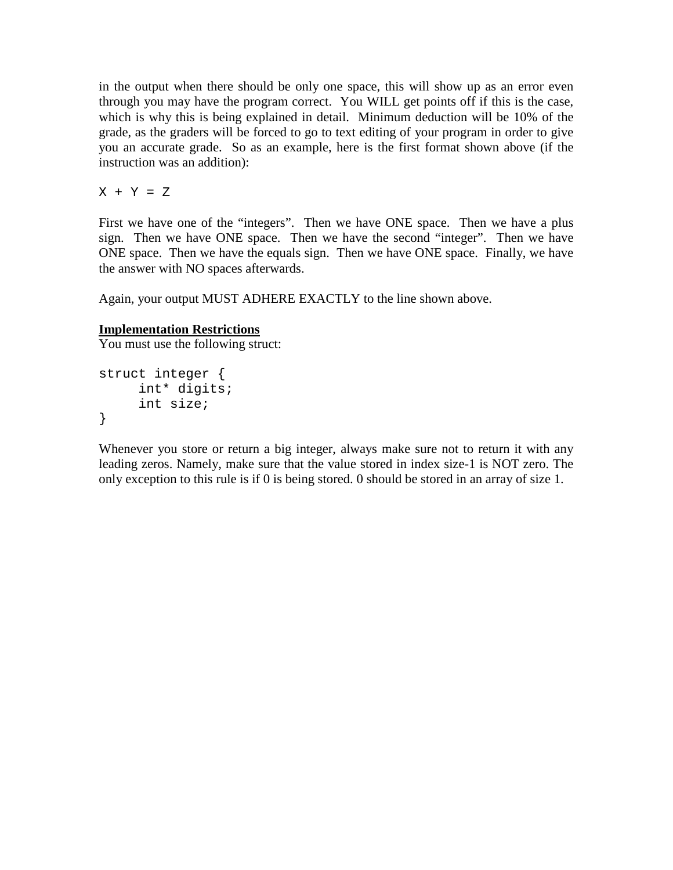in the output when there should be only one space, this will show up as an error even through you may have the program correct. You WILL get points off if this is the case, which is why this is being explained in detail. Minimum deduction will be 10% of the grade, as the graders will be forced to go to text editing of your program in order to give you an accurate grade. So as an example, here is the first format shown above (if the instruction was an addition):

 $X + Y = Z$ 

First we have one of the "integers". Then we have ONE space. Then we have a plus sign. Then we have ONE space. Then we have the second "integer". Then we have ONE space. Then we have the equals sign. Then we have ONE space. Finally, we have the answer with NO spaces afterwards.

Again, your output MUST ADHERE EXACTLY to the line shown above.

## **Implementation Restrictions**

You must use the following struct:

```
struct integer {
     int* digits;
     int size;
}
```
Whenever you store or return a big integer, always make sure not to return it with any leading zeros. Namely, make sure that the value stored in index size-1 is NOT zero. The only exception to this rule is if 0 is being stored. 0 should be stored in an array of size 1.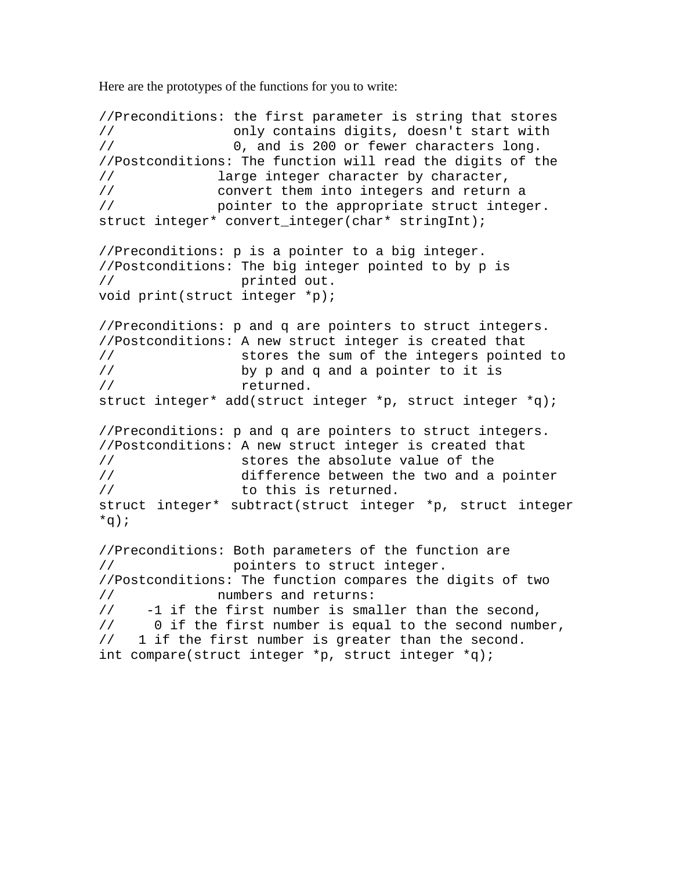Here are the prototypes of the functions for you to write:

```
//Preconditions: the first parameter is string that stores
// only contains digits, doesn't start with
                    0, and is 200 or fewer characters long.
//Postconditions: The function will read the digits of the<br>// large integer character by character,
// large integer character by character,<br>// convert them into integers and return
// convert them into integers and return a 
                 pointer to the appropriate struct integer.
struct integer* convert_integer(char* stringInt);
//Preconditions: p is a pointer to a big integer.
//Postconditions: The big integer pointed to by p is 
// printed out.
void print(struct integer *p);
//Preconditions: p and q are pointers to struct integers.
//Postconditions: A new struct integer is created that<br>// stores the sum of the integers pointe
// stores the sum of the integers pointed to<br>// by p and q and a pointer to it is
// by p and q and a pointer to it is 
                     returned.
struct integer* add(struct integer *p, struct integer *q);
//Preconditions: p and q are pointers to struct integers.
//Postconditions: A new struct integer is created that<br>// stores the absolute value of the
// stores the absolute value of the<br>// difference between the two and a
// difference between the two and a pointer<br>//                 to this is returned.
                     to this is returned.
struct integer* subtract(struct integer *p, struct integer 
*q);
//Preconditions: Both parameters of the function are 
// pointers to struct integer. 
//Postconditions: The function compares the digits of two 
// mumbers and returns:<br>// -1 if the first number is sma
// -1 if the first number is smaller than the second,<br>// 0 if the first number is equal to the second numb
// 0 if the first number is equal to the second number,<br>// 1 if the first number is greater than the second.
      1 if the first number is greater than the second.
int compare(struct integer *p, struct integer *q);
```